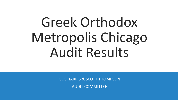GUS HARRIS & SCOTT THOMPSON

AUDIT COMMITTEE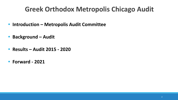- **• Introduction Metropolis Audit Committee**
- **• Background Audit**
- **• Results Audit 2015 2020**
- **• Forward 2021**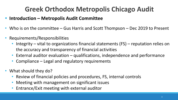#### **• Introduction – Metropolis Audit Committee**

- Who is on the committee Gus Harris and Scott Thompson Dec 2019 to Present
- Requirements/Responsibilities
	- Integrity vital to organizations financial statements  $(FS)$  reputation relies on the accuracy and transparency of financial activities
	- External auditor evaluation qualifications, independence and performance
	- Compliance Legal and regulatory requirements
- What should they do?
	- Review of financial policies and procedures, FS, internal controls
	- Meeting with management on significant issues
	- Entrance/Exit meeting with external auditor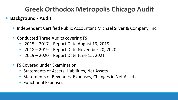### **• Background - Audit**

- Independent Certified Public Accountant Michael Silver & Company, Inc.
- Conducted Three Audits covering FS
	- 2015 2017 Report Date August 19, 2019
	- 2018 2019 Report Date November 20, 2020
	- 2019 2020 Report Date June 15, 2021
- FS Covered under Examination
	- Statements of Assets, Liabilities, Net Assets
	- Statements of Revenues, Expenses, Changes in Net Assets
	- Functional Expenses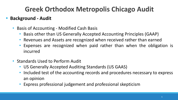## **• Background - Audit**

- Basis of Accounting Modified Cash Basis
	- Basis other than US Generally Accepted Accounting Principles (GAAP)
	- Revenues and Assets are recognized when received rather than earned
	- Expenses are recognized when paid rather than when the obligation is incurred
- Standards Used to Perform Audit
	- US Generally Accepted Auditing Standards (US GAAS)
	- Included test of the accounting records and procedures necessary to express an opinion
	- Express professional judgement and professional skepticism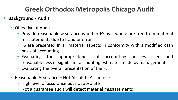### **• Background - Audit**

- Objective of Audit
	- Provide reasonable assurance whether FS as a whole are free from material misstatements due to fraud or error
	- FS are presented in all material aspects in conformity with a modified cash basis of accounting
	- Evaluating the appropriateness of accounting policies used and reasonableness of significant accounting estimates made by management
	- Evaluating the overall presentation of the FS
- Reasonable Assurance Not Absolute Assurance
	- High level of assurance but not absolute
	- Not a guarantee audit will detect material misstatements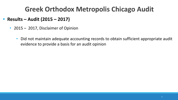- **• Results Audit (2015 2017)**
	- 2015 2017, Disclaimer of Opinion
		- Did not maintain adequate accounting records to obtain sufficient appropriate audit evidence to provide a basis for an audit opinion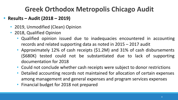### **• Results – Audit (2018 – 2019)**

- 2019, Unmodified (Clean) Opinion
- 2018, Qualified Opinion
	- Qualified opinion issued due to inadequacies encountered in accounting records and related supporting data as noted in 2015 – 2017 audit
	- Approximately 12% of cash receipts (\$1.2M) and 31% of cash disbursements (\$680K) tested could not be substantiated due to lack of supporting documentation for 2018
	- Could not conclude whether cash receipts were subject to donor restrictions
	- Detailed accounting records not maintained for allocation of certain expenses among management and general expenses and program services expenses
	- Financial budget for 2018 not prepared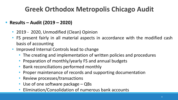#### **• Results – Audit (2019 – 2020)**

- 2019 2020, Unmodified (Clean) Opinion
- FS present fairly in all material aspects in accordance with the modified cash basis of accounting
- Improved Internal Controls lead to change
	- The creating and implementation of written policies and procedures
	- Preparation of monthly/yearly FS and annual budgets
	- Bank reconciliations performed monthly
	- Proper maintenance of records and supporting documentation
	- Review processes/transactions
	- Use of one software package QBs
	- Elimination/Consolidation of numerous bank accounts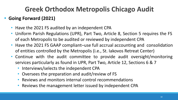## **• Going Forward (2021)**

- Have the 2021 FS audited by an independent CPA
- Uniform Parish Regulations (UPR), Part Two, Article 8, Section 5 requires the FS of each Metropolis to be audited or reviewed by independent CPA
- Have the 2021 FS GAAP compliant–use full accrual accounting and consolidation of entities controlled by the Metropolis (i.e., St. Iakovos Retreat Center)
- Continue with the audit committee to provide audit oversight/monitoring services particularly as found in UPR, Part Two, Article 12, Sections 6 & 7
	- Interviews/selects the independent CPA
	- Oversees the preparation and audit/review of FS
	- Reviews and monitors internal control recommendations
	- Reviews the management letter issued by independent CPA